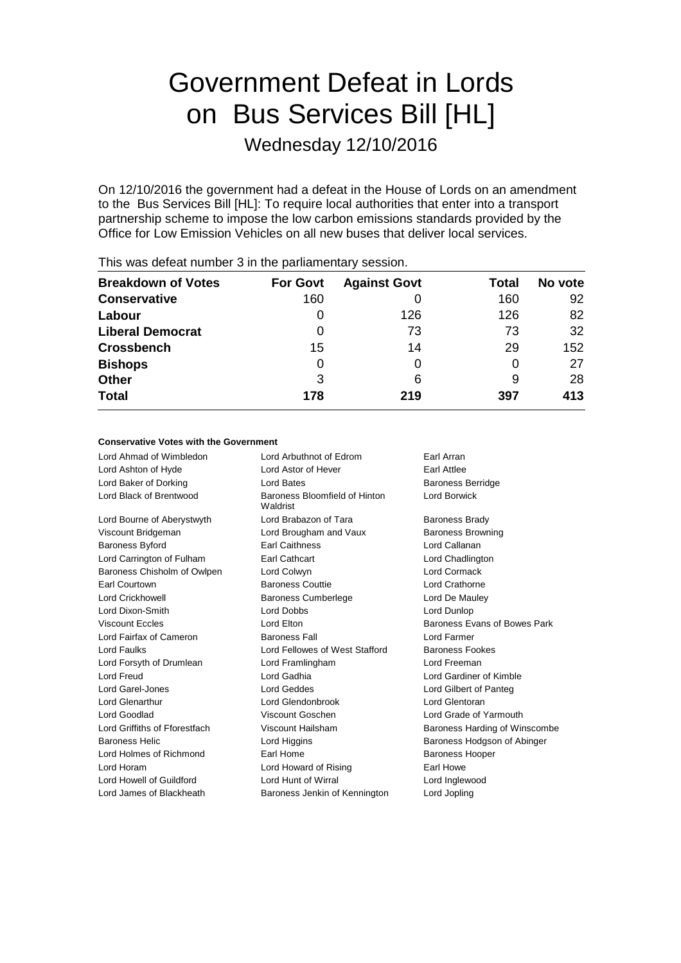# Government Defeat in Lords on Bus Services Bill [HL]

Wednesday 12/10/2016

On 12/10/2016 the government had a defeat in the House of Lords on an amendment to the Bus Services Bill [HL]: To require local authorities that enter into a transport partnership scheme to impose the low carbon emissions standards provided by the Office for Low Emission Vehicles on all new buses that deliver local services.

| <b>Breakdown of Votes</b> | <b>For Govt</b> | <b>Against Govt</b> | Total | No vote |
|---------------------------|-----------------|---------------------|-------|---------|
| <b>Conservative</b>       | 160             | 0                   | 160   | 92      |
| Labour                    | O               | 126                 | 126   | 82      |
| <b>Liberal Democrat</b>   | 0               | 73                  | 73    | 32      |
| <b>Crossbench</b>         | 15              | 14                  | 29    | 152     |
| <b>Bishops</b>            | 0               | O                   | 0     | 27      |
| <b>Other</b>              | 3               | 6                   | 9     | 28      |
| <b>Total</b>              | 178             | 219                 | 397   | 413     |
|                           |                 |                     |       |         |

This was defeat number 3 in the parliamentary session.

#### **Conservative Votes with the Government**

Lord Ahmad of Wimbledon Lord Arbuthnot of Edrom Earl Arran Lord Ashton of Hyde **Lord Astor of Hever** Earl Attlee Lord Baker of Dorking **Community** Lord Bates **Baroness Berridge** Lord Black of Brentwood Baroness Bloomfield of Hinton Waldrist Lord Borwick Lord Bourne of Aberystwyth **Lord Brabazon of Tara** Baroness Brady Viscount Bridgeman **Lord Brougham and Vaux** Baroness Browning Baroness Byford Earl Caithness Lord Callanan Lord Carrington of Fulham Earl Cathcart Earl Communication Chadlington Baroness Chisholm of Owlpen Lord Colwyn Lord Cormack Earl Courtown Baroness Couttie Lord Crathorne Lord Crickhowell Baroness Cumberlege Lord De Mauley Lord Dixon-Smith Lord Dobbs Lord Dunlop Viscount Eccles **Lord Elton** Lord Elton **Baroness Evans of Bowes Park** Lord Fairfax of Cameron Baroness Fall Lord Farmer Lord Faulks Lord Fellowes of West Stafford Baroness Fookes Lord Forsyth of Drumlean Lord Framlingham Lord Freeman Lord Freud Lord Gadhia Lord Gardiner of Kimble Lord Garel-Jones Lord Geddes Lord Gilbert of Panteg Lord Glenarthur Lord Glendonbrook Lord Glentoran Lord Goodlad Viscount Goschen Lord Grade of Yarmouth Lord Griffiths of Fforestfach Viscount Hailsham Baroness Harding of Winscombe Baroness Helic **Communist Constructed Lord Higgins Baroness Hodgson of Abinger** Lord Holmes of Richmond Earl Home Earl Home Baroness Hooper Lord Horam **Lord Howard of Rising Farl Howe** Lord Howell of Guildford Lord Hunt of Wirral Lord Inglewood Lord James of Blackheath Baroness Jenkin of Kennington Lord Jopling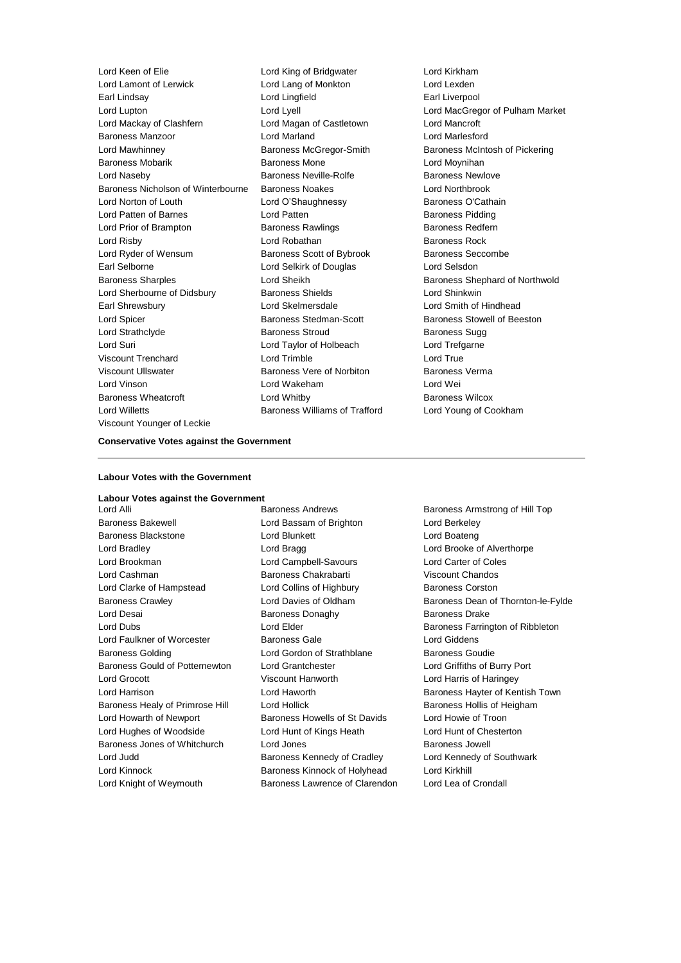| Lord Keen of Elie                  | Lord King of Bridgwater              | Lord Kirkham           |
|------------------------------------|--------------------------------------|------------------------|
| Lord Lamont of Lerwick             | Lord Lang of Monkton                 | Lord Lexden            |
| Earl Lindsay                       | Lord Lingfield                       | Earl Liverpool         |
| Lord Lupton                        | Lord Lyell                           | Lord MacGregor         |
| Lord Mackay of Clashfern           | Lord Magan of Castletown             | Lord Mancroft          |
| <b>Baroness Manzoor</b>            | <b>Lord Marland</b>                  | <b>Lord Marlesford</b> |
| Lord Mawhinney                     | Baroness McGregor-Smith              | <b>Baroness McInto</b> |
| <b>Baroness Mobarik</b>            | <b>Baroness Mone</b>                 | Lord Moynihan          |
| Lord Naseby                        | Baroness Neville-Rolfe               | <b>Baroness Newlo</b>  |
| Baroness Nicholson of Winterbourne | <b>Baroness Noakes</b>               | <b>Lord Northbrook</b> |
| Lord Norton of Louth               | Lord O'Shaughnessy                   | Baroness O'Catl        |
| Lord Patten of Barnes              | Lord Patten                          | <b>Baroness Piddin</b> |
| Lord Prior of Brampton             | <b>Baroness Rawlings</b>             | <b>Baroness Redfe</b>  |
| Lord Risby                         | Lord Robathan                        | Baroness Rock          |
| Lord Ryder of Wensum               | Baroness Scott of Bybrook            | <b>Baroness Secco</b>  |
| Earl Selborne                      | Lord Selkirk of Douglas              | Lord Selsdon           |
| <b>Baroness Sharples</b>           | Lord Sheikh                          | <b>Baroness Sheph</b>  |
| Lord Sherbourne of Didsbury        | <b>Baroness Shields</b>              | Lord Shinkwin          |
| Earl Shrewsbury                    | Lord Skelmersdale                    | Lord Smith of Hi       |
| Lord Spicer                        | Baroness Stedman-Scott               | <b>Baroness Stowe</b>  |
| Lord Strathclyde                   | <b>Baroness Stroud</b>               | Baroness Sugg          |
| Lord Suri                          | Lord Taylor of Holbeach              | Lord Trefgarne         |
| <b>Viscount Trenchard</b>          | Lord Trimble                         | Lord True              |
| <b>Viscount Ullswater</b>          | Baroness Vere of Norbiton            | <b>Baroness Verma</b>  |
| Lord Vinson                        | Lord Wakeham                         | Lord Wei               |
| Baroness Wheatcroft                | Lord Whitby                          | Baroness Wilco:        |
| <b>Lord Willetts</b>               | <b>Baroness Williams of Trafford</b> | Lord Young of C        |
| Viscount Younger of Leckie         |                                      |                        |
|                                    |                                      |                        |

**Bridgwater Conditation Conditation** Earl Liverpool Lord MacGregor of Pulham Market of Castletown Lord Mancroft Gregor-Smith Baroness McIntosh of Pickering ne **Baroness Mone Lord Moynihan** ville-Rolfe Baroness Newlove akes **Nicholson of Winterbourne Baroness Northbrook** Innessy **Baroness O'Cathain** Baroness Pidding wlings **Baroness Redfern Lord Risby Lord Risby Robathan Baroness Rock** ott of Bybrook Baroness Seccombe of Douglas Lord Selsdon Baroness Shephard of Northwold elds **Europe of Dides** Lord Shinkwin sdale **Lord Smith of Hindhead** dman-Scott Baroness Stowell of Beeston **Dud Baroness Sugg** Holbeach Lord Trefgarne ve of Norbiton Baroness Verma Baroness Wilcox liams of Trafford Lord Young of Cookham

#### **Conservative Votes against the Government**

#### **Labour Votes with the Government**

#### **Labour Votes against the Government**

Baroness Bakewell Lord Bassam of Brighton Lord Berkeley Baroness Blackstone Lord Blunkett Lord Boateng Lord Bradley **Lord Bragg Lord Bragg Lord Brooke of Alverthorpe** Lord Brookman Lord Campbell-Savours Lord Carter of Coles Lord Cashman Baroness Chakrabarti Viscount Chandos Lord Clarke of Hampstead Lord Collins of Highbury Baroness Corston Lord Desai **Baroness Donaghy** Baroness Donaghy Baroness Drake Lord Faulkner of Worcester Baroness Gale Lord Giddens Baroness Golding **Baroness Goudie** Lord Gordon of Strathblane **Baroness Goudie** Baroness Gould of Potternewton Lord Grantchester **Lord Griffiths of Burry Port** Lord Grocott Viscount Hanworth Lord Harris of Haringey Baroness Healy of Primrose Hill Lord Hollick **Baroness Hollis of Heigham** Lord Howarth of Newport Baroness Howells of St Davids Lord Howie of Troon Lord Hughes of Woodside Lord Hunt of Kings Heath Lord Hunt of Chesterton Baroness Jones of Whitchurch Lord Jones **Baroness Jowell** Lord Judd Baroness Kennedy of Cradley Lord Kennedy of Southwark Lord Kinnock Baroness Kinnock of Holyhead Lord Kirkhill

Lord Alli **Baroness Andrews** Baroness Andrews Baroness Armstrong of Hill Top Lord Knight of Weymouth Baroness Lawrence of Clarendon Lord Lea of Crondall

Baroness Crawley **Carroll** Crambush Cord Davies of Oldham Baroness Dean of Thornton-le-Fylde Lord Dubs **Lord Elder Lord Elder Baroness Farrington of Ribbleton** Lord Harrison **Lord Haworth Baroness Hayter of Kentish Town**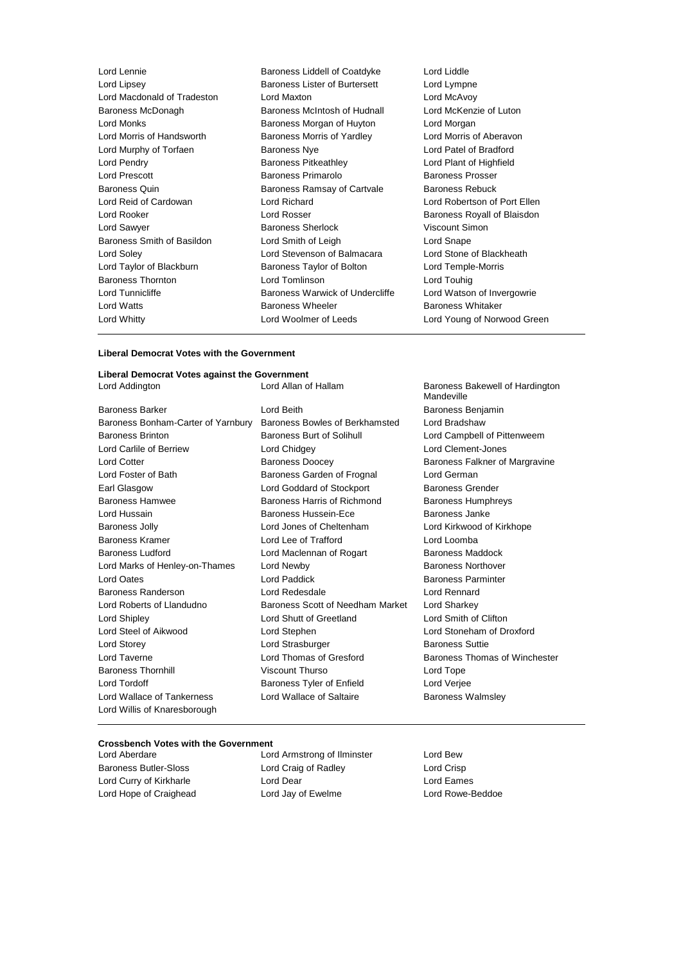| Lord Lennie                 | Baroness Liddell of Coatdyke         | Lord Liddle                  |
|-----------------------------|--------------------------------------|------------------------------|
| Lord Lipsey                 | <b>Baroness Lister of Burtersett</b> | Lord Lympne                  |
| Lord Macdonald of Tradeston | Lord Maxton                          | Lord McAvoy                  |
| Baroness McDonagh           | Baroness McIntosh of Hudnall         | Lord McKenzie of Luton       |
| Lord Monks                  | Baroness Morgan of Huyton            | Lord Morgan                  |
| Lord Morris of Handsworth   | Baroness Morris of Yardley           | Lord Morris of Aberavon      |
| Lord Murphy of Torfaen      | <b>Baroness Nye</b>                  | Lord Patel of Bradford       |
| Lord Pendry                 | <b>Baroness Pitkeathley</b>          | Lord Plant of Highfield      |
| <b>Lord Prescott</b>        | Baroness Primarolo                   | Baroness Prosser             |
| Baroness Quin               | Baroness Ramsay of Cartvale          | Baroness Rebuck              |
| Lord Reid of Cardowan       | Lord Richard                         | Lord Robertson of Port Ellen |
| Lord Rooker                 | Lord Rosser                          | Baroness Royall of Blaisdon  |
| Lord Sawyer                 | <b>Baroness Sherlock</b>             | Viscount Simon               |
| Baroness Smith of Basildon  | Lord Smith of Leigh                  | Lord Snape                   |
| Lord Soley                  | Lord Stevenson of Balmacara          | Lord Stone of Blackheath     |
| Lord Taylor of Blackburn    | Baroness Taylor of Bolton            | Lord Temple-Morris           |
| <b>Baroness Thornton</b>    | Lord Tomlinson                       | Lord Touhig                  |
| Lord Tunnicliffe            | Baroness Warwick of Undercliffe      | Lord Watson of Invergowrie   |
| Lord Watts                  | <b>Baroness Wheeler</b>              | <b>Baroness Whitaker</b>     |
| Lord Whitty                 | Lord Woolmer of Leeds                | Lord Young of Norwood Green  |
|                             |                                      |                              |

#### **Liberal Democrat Votes with the Government**

#### **Liberal Democrat Votes against the Government**

| Liberal Democrat votes against the Government |                                  |                                               |
|-----------------------------------------------|----------------------------------|-----------------------------------------------|
| Lord Addington                                | Lord Allan of Hallam             | Baroness Bakewell of Hardington<br>Mandeville |
| <b>Baroness Barker</b>                        | Lord Beith                       | Baroness Benjamin                             |
| Baroness Bonham-Carter of Yarnbury            | Baroness Bowles of Berkhamsted   | Lord Bradshaw                                 |
| <b>Baroness Brinton</b>                       | Baroness Burt of Solihull        | Lord Campbell of Pittenweem                   |
| Lord Carlile of Berriew                       | Lord Chidgey                     | Lord Clement-Jones                            |
| <b>Lord Cotter</b>                            | <b>Baroness Doocey</b>           | Baroness Falkner of Margravine                |
| Lord Foster of Bath                           | Baroness Garden of Frognal       | Lord German                                   |
| Earl Glasgow                                  | Lord Goddard of Stockport        | <b>Baroness Grender</b>                       |
| <b>Baroness Hamwee</b>                        | Baroness Harris of Richmond      | <b>Baroness Humphreys</b>                     |
| Lord Hussain                                  | Baroness Hussein-Ece             | Baroness Janke                                |
| <b>Baroness Jolly</b>                         | Lord Jones of Cheltenham         | Lord Kirkwood of Kirkhope                     |
| <b>Baroness Kramer</b>                        | Lord Lee of Trafford             | Lord Loomba                                   |
| Baroness Ludford                              | Lord Maclennan of Rogart         | Baroness Maddock                              |
| Lord Marks of Henley-on-Thames                | Lord Newby                       | Baroness Northover                            |
| <b>Lord Oates</b>                             | <b>Lord Paddick</b>              | <b>Baroness Parminter</b>                     |
| Baroness Randerson                            | Lord Redesdale                   | Lord Rennard                                  |
| Lord Roberts of Llandudno                     | Baroness Scott of Needham Market | Lord Sharkey                                  |
| <b>Lord Shipley</b>                           | Lord Shutt of Greetland          | Lord Smith of Clifton                         |
| Lord Steel of Aikwood                         | Lord Stephen                     | Lord Stoneham of Droxford                     |
| Lord Storey                                   | Lord Strasburger                 | <b>Baroness Suttie</b>                        |
| Lord Taverne                                  | Lord Thomas of Gresford          | Baroness Thomas of Winchester                 |
| <b>Baroness Thornhill</b>                     | Viscount Thurso                  | Lord Tope                                     |
| Lord Tordoff                                  | Baroness Tyler of Enfield        | Lord Verjee                                   |
| Lord Wallace of Tankerness                    | Lord Wallace of Saltaire         | <b>Baroness Walmsley</b>                      |
| Lord Willis of Knaresborough                  |                                  |                                               |
|                                               |                                  |                                               |

#### **Crossbench Votes with the Government**

Lord Aberdare Lord Armstrong of Ilminster Lord Bew Baroness Butler-Sloss **Lord Craig of Radley** Lord Crisp Lord Curry of Kirkharle **Lord Dear** Lord Dear **Lord Eames** Lord Hope of Craighead Lord Jay of Ewelme Lord Cord Rowe-Beddoe